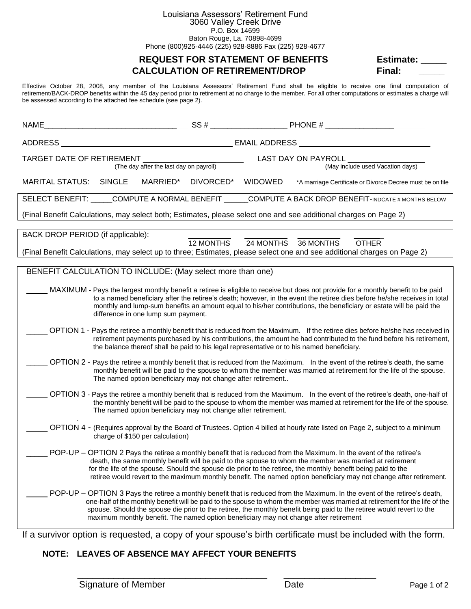# Louisiana Assessors' Retirement Fund

3060 Valley Creek Drive P.O. Box 14699

Baton Rouge, La. 70898-4699 Phone (800)925-4446 (225) 928-8886 Fax (225) 928-4677

### **REQUEST FOR STATEMENT OF BENEFITS Estimate: CALCULATION OF RETIREMENT/DROP Final:**

Effective October 28, 2008, any member of the Louisiana Assessors' Retirement Fund shall be eligible to receive one final computation of retirement/BACK-DROP benefits within the 45 day period prior to retirement at no charge to the member. For all other computations or estimates a charge will be assessed according to the attached fee schedule (see page 2).

| NAME                                                                                                                                                                                                                                                                                                                                                                                                                       |           |                |                                                                                                                                                                                                                                                                                                                                                                                                                                                                        |  |
|----------------------------------------------------------------------------------------------------------------------------------------------------------------------------------------------------------------------------------------------------------------------------------------------------------------------------------------------------------------------------------------------------------------------------|-----------|----------------|------------------------------------------------------------------------------------------------------------------------------------------------------------------------------------------------------------------------------------------------------------------------------------------------------------------------------------------------------------------------------------------------------------------------------------------------------------------------|--|
| ADDRESS                                                                                                                                                                                                                                                                                                                                                                                                                    |           |                |                                                                                                                                                                                                                                                                                                                                                                                                                                                                        |  |
| TARGET DATE OF RETIREMENT<br>(The day after the last day on payroll)                                                                                                                                                                                                                                                                                                                                                       |           |                | LAST DAY ON PAYROLL<br>(May include used Vacation days)                                                                                                                                                                                                                                                                                                                                                                                                                |  |
| <b>MARITAL STATUS:</b><br><b>SINGLE</b><br>MARRIED*                                                                                                                                                                                                                                                                                                                                                                        | DIVORCED* | <b>WIDOWED</b> | *A marriage Certificate or Divorce Decree must be on file                                                                                                                                                                                                                                                                                                                                                                                                              |  |
|                                                                                                                                                                                                                                                                                                                                                                                                                            |           |                | SELECT BENEFIT: _____COMPUTE A NORMAL BENEFIT ______COMPUTE A BACK DROP BENEFIT-INDCATE # MONTHS BELOW                                                                                                                                                                                                                                                                                                                                                                 |  |
| (Final Benefit Calculations, may select both; Estimates, please select one and see additional charges on Page 2)                                                                                                                                                                                                                                                                                                           |           |                |                                                                                                                                                                                                                                                                                                                                                                                                                                                                        |  |
| BACK DROP PERIOD (if applicable):<br>(Final Benefit Calculations, may select up to three; Estimates, please select one and see additional charges on Page 2)                                                                                                                                                                                                                                                               | 12 MONTHS | 24 MONTHS      | 36 MONTHS<br><b>OTHER</b>                                                                                                                                                                                                                                                                                                                                                                                                                                              |  |
|                                                                                                                                                                                                                                                                                                                                                                                                                            |           |                |                                                                                                                                                                                                                                                                                                                                                                                                                                                                        |  |
| BENEFIT CALCULATION TO INCLUDE: (May select more than one)                                                                                                                                                                                                                                                                                                                                                                 |           |                |                                                                                                                                                                                                                                                                                                                                                                                                                                                                        |  |
| MAXIMUM - Pays the largest monthly benefit a retiree is eligible to receive but does not provide for a monthly benefit to be paid<br>to a named beneficiary after the retiree's death; however, in the event the retiree dies before he/she receives in total<br>monthly and lump-sum benefits an amount equal to his/her contributions, the beneficiary or estate will be paid the<br>difference in one lump sum payment. |           |                |                                                                                                                                                                                                                                                                                                                                                                                                                                                                        |  |
| the balance thereof shall be paid to his legal representative or to his named beneficiary.                                                                                                                                                                                                                                                                                                                                 |           |                | OPTION 1 - Pays the retiree a monthly benefit that is reduced from the Maximum. If the retiree dies before he/she has received in<br>retirement payments purchased by his contributions, the amount he had contributed to the fund before his retirement,                                                                                                                                                                                                              |  |
| The named option beneficiary may not change after retirement                                                                                                                                                                                                                                                                                                                                                               |           |                | OPTION 2 - Pays the retiree a monthly benefit that is reduced from the Maximum. In the event of the retiree's death, the same<br>monthly benefit will be paid to the spouse to whom the member was married at retirement for the life of the spouse.                                                                                                                                                                                                                   |  |
| The named option beneficiary may not change after retirement.                                                                                                                                                                                                                                                                                                                                                              |           |                | OPTION 3 - Pays the retiree a monthly benefit that is reduced from the Maximum. In the event of the retiree's death, one-half of<br>the monthly benefit will be paid to the spouse to whom the member was married at retirement for the life of the spouse.                                                                                                                                                                                                            |  |
| OPTION 4 - (Requires approval by the Board of Trustees. Option 4 billed at hourly rate listed on Page 2, subject to a minimum<br>charge of \$150 per calculation)                                                                                                                                                                                                                                                          |           |                |                                                                                                                                                                                                                                                                                                                                                                                                                                                                        |  |
|                                                                                                                                                                                                                                                                                                                                                                                                                            |           |                | POP-UP – OPTION 2 Pays the retiree a monthly benefit that is reduced from the Maximum. In the event of the retiree's<br>death, the same monthly benefit will be paid to the spouse to whom the member was married at retirement<br>for the life of the spouse. Should the spouse die prior to the retiree, the monthly benefit being paid to the<br>retiree would revert to the maximum monthly benefit. The named option beneficiary may not change after retirement. |  |
| maximum monthly benefit. The named option beneficiary may not change after retirement                                                                                                                                                                                                                                                                                                                                      |           |                | POP-UP - OPTION 3 Pays the retiree a monthly benefit that is reduced from the Maximum. In the event of the retiree's death,<br>one-half of the monthly benefit will be paid to the spouse to whom the member was married at retirement for the life of the<br>spouse. Should the spouse die prior to the retiree, the monthly benefit being paid to the retiree would revert to the                                                                                    |  |

If a survivor option is requested, a copy of your spouse's birth certificate must be included with the form.

\_\_\_\_\_\_\_\_\_\_\_\_\_\_\_\_\_\_\_\_\_\_\_\_\_\_\_\_\_\_\_\_\_\_\_\_\_ \_\_\_\_\_\_\_\_\_\_\_\_\_\_\_\_\_\_

### **NOTE: LEAVES OF ABSENCE MAY AFFECT YOUR BENEFITS**